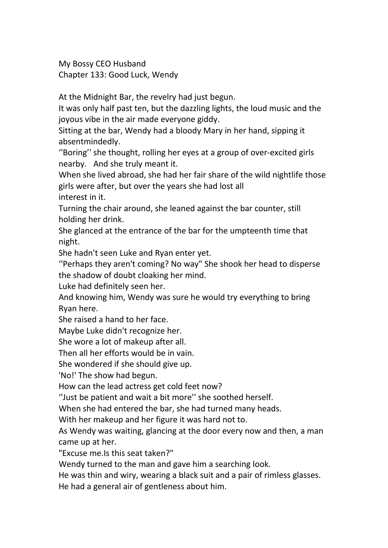My Bossy CEO Husband Chapter 133: Good Luck, Wendy

At the Midnight Bar, the revelry had just begun.

It was only half past ten, but the dazzling lights, the loud music and the joyous vibe in the air made everyone giddy.

Sitting at the bar, Wendy had a bloody Mary in her hand, sipping it absentmindedly.

''Boring'' she thought, rolling her eyes at a group of over-excited girls nearby. And she truly meant it.

When she lived abroad, she had her fair share of the wild nightlife those girls were after, but over the years she had lost all interest in it.

Turning the chair around, she leaned against the bar counter, still

holding her drink.<br>She glanced at the entrance of the bar for the umpteenth time that night.

She hadn't seen Luke and Ryan enter yet.

''Perhaps they aren't coming? No way" She shook her head to disperse the shadow of doubt cloaking her mind.<br>Luke had definitely seen her.

And knowing him, Wendy was sure he would try everything to bring Ryan here.

She raised a hand to her face.

Maybe Luke didn't recognize her.

She wore a lot of makeup after all.

Then all her efforts would be in vain.

She wondered if she should give up.

'No!' The show had begun.

How can the lead actress get cold feet now?

"Just be patient and wait a bit more" she soothed herself.

When she had entered the bar, she had turned many heads.

With her makeup and her figure it was hard not to.

As Wendy was waiting, glancing at the door every now and then, a man came up at her.

"Excuse me.Is this seat taken?"

Wendy turned to the man and gave him a searching look.

He was thin and wiry, wearing a black suit and a pair of rimless glasses.

He had a general air of gentleness about him.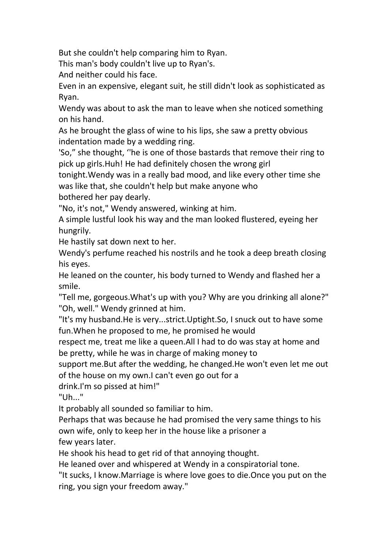But she couldn't help comparing him to Ryan.

This man's body couldn't live up to Ryan's.

And neither could his face.

Even in an expensive, elegant suit, he still didn't look as sophisticated as Ryan.

Wendy was about to ask the man to leave when she noticed something on his hand.

As he brought the glass of wine to his lips, she saw a pretty obvious indentation made by a wedding ring.

'So," she thought, "he is one of those bastards that remove their ring to pick up girls.Huh! He had definitely chosen the wrong girl

tonight.Wendy was in a really bad mood, and like every other time she was like that, she couldn't help but make anyone who

bothered her pay dearly.

"No, it's not," Wendy answered, winking at him.

A simple lustful look his way and the man looked flustered, eyeing her hungrily.

He hastily sat down next to her.

Wendy's perfume reached his nostrils and he took a deep breath closing his eyes.

He leaned on the counter, his body turned to Wendy and flashed her a smile.

"Tell me, gorgeous.What's up with you? Why are you drinking all alone?" "Oh, well." Wendy grinned at him.

"It's my husband.He is very...strict.Uptight.So, I snuck out to have some fun.When he proposed to me, he promised he would

respect me, treat me like a queen.All I had to do was stay at home and be pretty, while he was in charge of making money to

support me.But after the wedding, he changed.He won't even let me out of the house on my own.I can't even go out for a

drink.I'm so pissed at him!"

"Uh..."

It probably all sounded so familiar to him.

Perhaps that was because he had promised the very same things to his own wife, only to keep her in the house like a prisoner a few years later.

He shook his head to get rid of that annoying thought.

He leaned over and whispered at Wendy in a conspiratorial tone.

"It sucks, I know.Marriage is where love goes to die.Once you put on the ring, you sign your freedom away."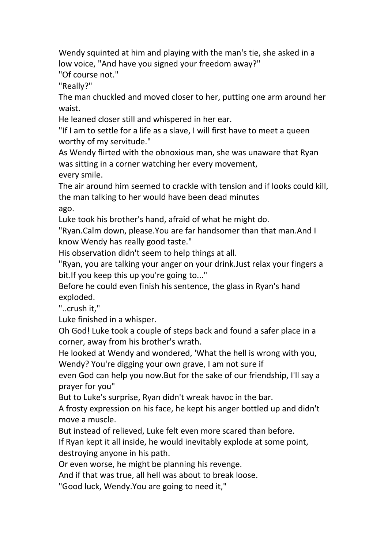Wendy squinted at him and playing with the man's tie, she asked in a low voice, "And have you signed your freedom away?"

"Of course not."

"Really?"

The man chuckled and moved closer to her, putting one arm around her waist.

He leaned closer still and whispered in her ear.

"If I am to settle for a life as a slave, I will first have to meet a queen worthy of my servitude."

As Wendy flirted with the obnoxious man, she was unaware that Ryan was sitting in a corner watching her every movement, every smile.

The air around him seemed to crackle with tension and if looks could kill, the man talking to her would have been dead minutes ago.

Luke took his brother's hand, afraid of what he might do.<br>"Ryan.Calm down, please.You are far handsomer than that man.And I know Wendy has really good taste."

His observation didn't seem to help things at all.

"Ryan, you are talking your anger on your drink.Just relax your fingers a bit.If you keep this up you're going to..."

Before he could even finish his sentence, the glass in Ryan's hand exploded.

"..crush it,"

Luke finished in a whisper.

Oh God! Luke took a couple of steps back and found a safer place in a corner, away from his brother's wrath.

He looked at Wendy and wondered, 'What the hell is wrong with you, Wendy? You're digging your own grave, I am not sure if

even God can help you now. But for the sake of our friendship, I'll say a prayer for you"

But to Luke's surprise, Ryan didn't wreak havoc in the bar.

A frosty expression on his face, he kept his anger bottled up and didn't move a muscle.

But instead of relieved, Luke felt even more scared than before.

If Ryan kept it all inside, he would inevitably explode at some point, destroying anyone in his path.<br>Or even worse, he might be planning his revenge.

And if that was true, all hell was about to break loose.

"Good luck, Wendy.You are going to need it,"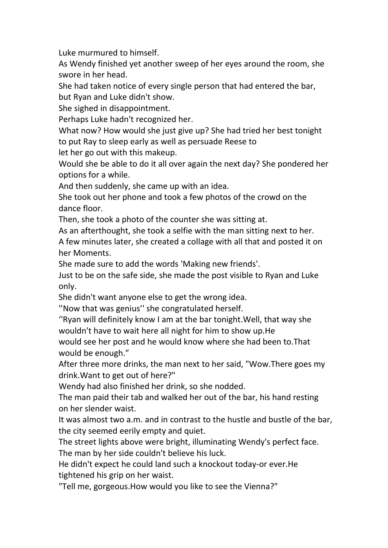Luke murmured to himself.

As Wendy finished yet another sweep of her eyes around the room, she swore in her head.

She had taken notice of every single person that had entered the bar, but Ryan and Luke didn't show.

She sighed in disappointment.

Perhaps Luke hadn't recognized her.

What now? How would she just give up? She had tried her best tonight to put Ray to sleep early as well as persuade Reese to

let her go out with this makeup.

Would she be able to do it all over again the next day? She pondered her options for a while.

And then suddenly, she came up with an idea.

She took out her phone and took a few photos of the crowd on the dance floor.

Then, she took a photo of the counter she was sitting at.

As an afterthought, she took a selfie with the man sitting next to her. A few minutes later, she created a collage with all that and posted it on her Moments.

She made sure to add the words 'Making new friends'.

Just to be on the safe side, she made the post visible to Ryan and Luke only.

She didn't want anyone else to get the wrong idea.

''Now that was genius'' she congratulated herself.

''Ryan will definitely know I am at the bar tonight.Well, that way she wouldn't have to wait here all night for him to show up.He

would see her post and he would know where she had been to.That would be enough."

After three more drinks, the man next to her said, "Wow.There goes my drink.Want to get out of here?"

Wendy had also finished her drink, so she nodded.<br>The man paid their tab and walked her out of the bar, his hand resting on her slender waist.

It was almost two a.m. and in contrast to the hustle and bustle of the bar, the city seemed eerily empty and quiet.

The street lights above were bright, illuminating Wendy's perfect face. The man by her side couldn't believe his luck.

He didn't expect he could land such a knockout today-or ever.He tightened his grip on her waist.

"Tell me, gorgeous.How would you like to see the Vienna?"